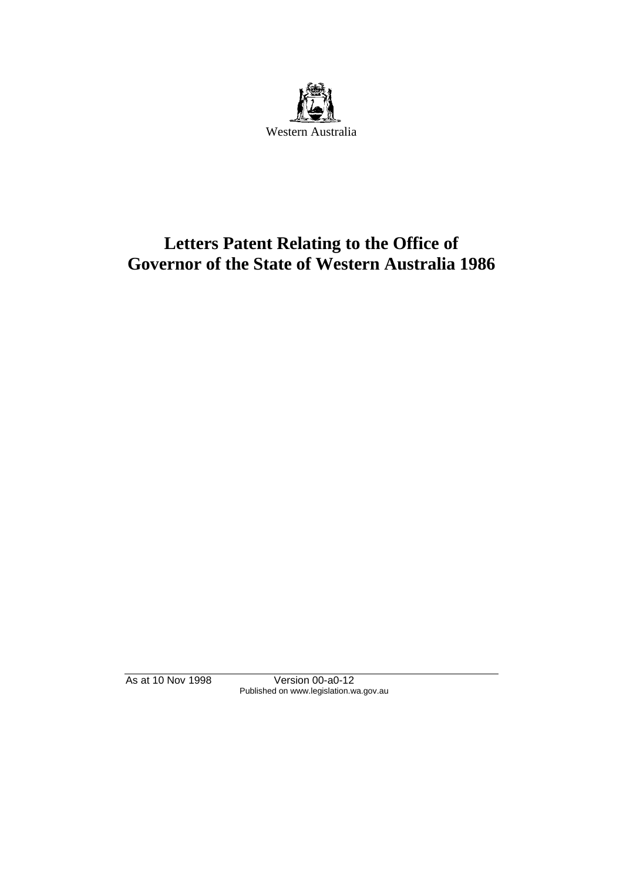

# **Letters Patent Relating to the Office of Governor of the State of Western Australia 1986**

As at 10 Nov 1998 Version 00-a0-12 Published on www.legislation.wa.gov.au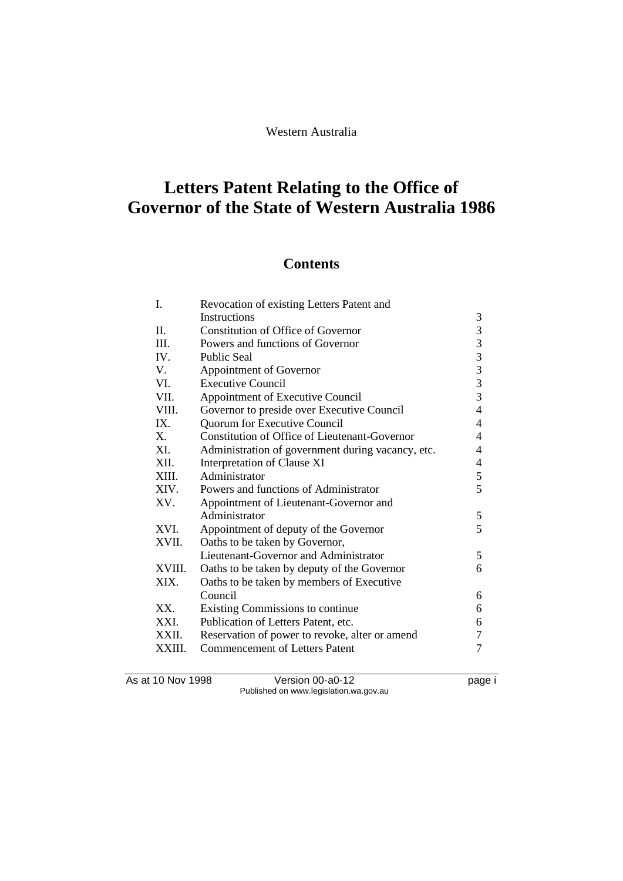Western Australia

# **Letters Patent Relating to the Office of Governor of the State of Western Australia 1986**

## **Contents**

| Ι.      | Revocation of existing Letters Patent and            |                                                      |  |
|---------|------------------------------------------------------|------------------------------------------------------|--|
|         | Instructions                                         | 3                                                    |  |
| II.     | <b>Constitution of Office of Governor</b>            |                                                      |  |
| III.    | Powers and functions of Governor                     |                                                      |  |
| IV.     | <b>Public Seal</b>                                   |                                                      |  |
| V.      | Appointment of Governor                              | $\begin{array}{c} 3 \\ 3 \\ 3 \\ 3 \\ 3 \end{array}$ |  |
| VI.     | <b>Executive Council</b>                             |                                                      |  |
| VII.    | $\overline{3}$<br>Appointment of Executive Council   |                                                      |  |
| VIII.   | Governor to preside over Executive Council           |                                                      |  |
| IX.     | Quorum for Executive Council                         |                                                      |  |
| $X_{-}$ | <b>Constitution of Office of Lieutenant-Governor</b> | 4                                                    |  |
| XI.     | Administration of government during vacancy, etc.    | 4                                                    |  |
| XII.    | Interpretation of Clause XI                          |                                                      |  |
| XIII.   | Administrator                                        | 5                                                    |  |
| XIV.    | Powers and functions of Administrator                | 5                                                    |  |
| XV.     | Appointment of Lieutenant-Governor and               |                                                      |  |
|         | Administrator                                        | 5                                                    |  |
| XVI.    | Appointment of deputy of the Governor                | 5                                                    |  |
| XVII.   | Oaths to be taken by Governor,                       |                                                      |  |
|         | Lieutenant-Governor and Administrator                | 5                                                    |  |
| XVIII.  | Oaths to be taken by deputy of the Governor          | 6                                                    |  |
| XIX.    | Oaths to be taken by members of Executive            |                                                      |  |
|         | Council                                              | 6                                                    |  |
| XX.     | Existing Commissions to continue                     | 6                                                    |  |
| XXI.    | Publication of Letters Patent, etc.                  | 6                                                    |  |
| XXII.   | Reservation of power to revoke, alter or amend       | 7                                                    |  |
| XXIII.  | <b>Commencement of Letters Patent</b>                | 7                                                    |  |
|         |                                                      |                                                      |  |

As at 10 Nov 1998 Version 00-a0-12 Page i Published on www.legislation.wa.gov.au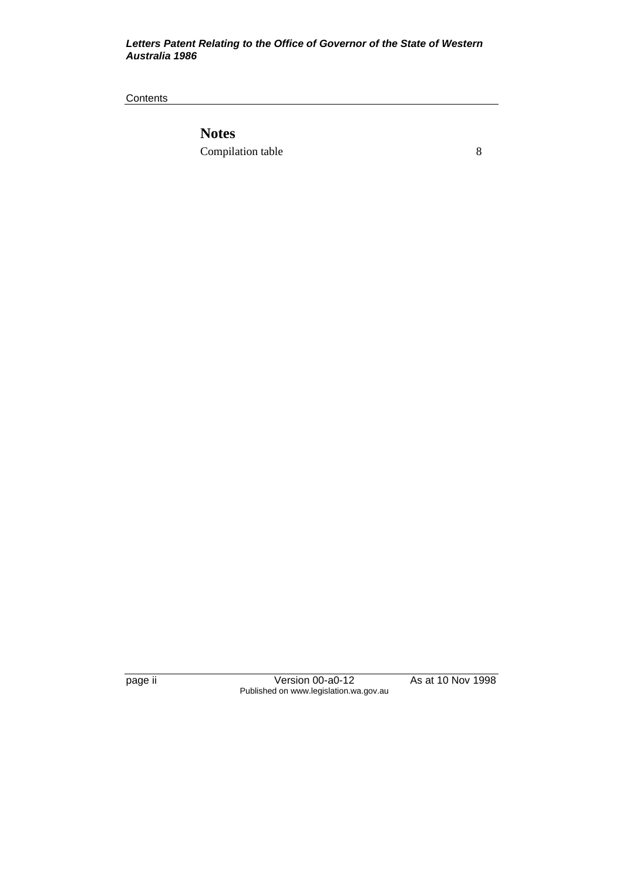#### *Letters Patent Relating to the Office of Governor of the State of Western Australia 1986*

**Contents** 

**Notes** Compilation table 8

page ii Version 00-a0-12 As at 10 Nov 1998 Published on www.legislation.wa.gov.au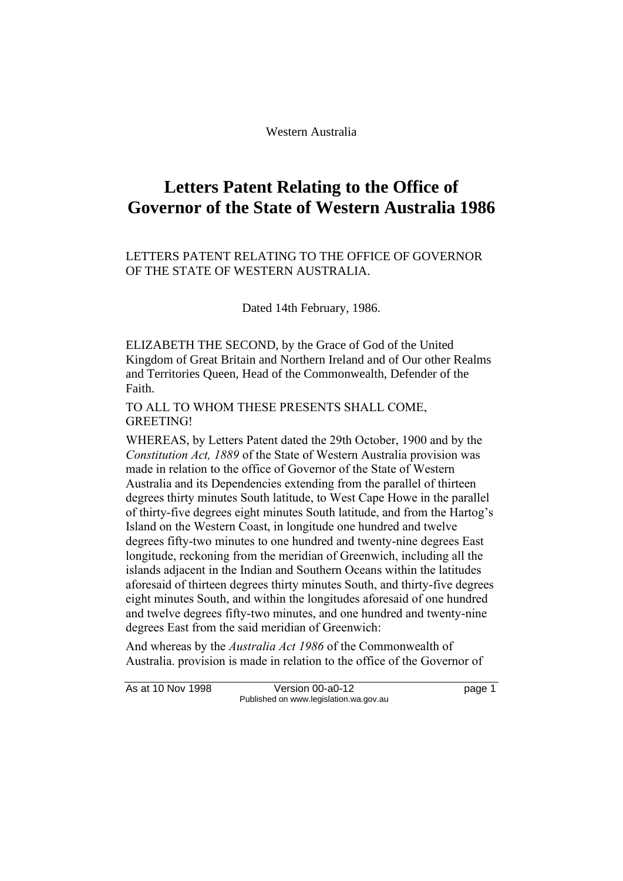Western Australia

## **Letters Patent Relating to the Office of Governor of the State of Western Australia 1986**

#### LETTERS PATENT RELATING TO THE OFFICE OF GOVERNOR OF THE STATE OF WESTERN AUSTRALIA.

Dated 14th February, 1986.

ELIZABETH THE SECOND, by the Grace of God of the United Kingdom of Great Britain and Northern Ireland and of Our other Realms and Territories Queen, Head of the Commonwealth, Defender of the Faith.

TO ALL TO WHOM THESE PRESENTS SHALL COME, GREETING!

WHEREAS, by Letters Patent dated the 29th October, 1900 and by the *Constitution Act, 1889* of the State of Western Australia provision was made in relation to the office of Governor of the State of Western Australia and its Dependencies extending from the parallel of thirteen degrees thirty minutes South latitude, to West Cape Howe in the parallel of thirty-five degrees eight minutes South latitude, and from the Hartog's Island on the Western Coast, in longitude one hundred and twelve degrees fifty-two minutes to one hundred and twenty-nine degrees East longitude, reckoning from the meridian of Greenwich, including all the islands adjacent in the Indian and Southern Oceans within the latitudes aforesaid of thirteen degrees thirty minutes South, and thirty-five degrees eight minutes South, and within the longitudes aforesaid of one hundred and twelve degrees fifty-two minutes, and one hundred and twenty-nine degrees East from the said meridian of Greenwich:

And whereas by the *Australia Act 1986* of the Commonwealth of Australia. provision is made in relation to the office of the Governor of

As at 10 Nov 1998 Version 00-a0-12 Page 1 Published on www.legislation.wa.gov.au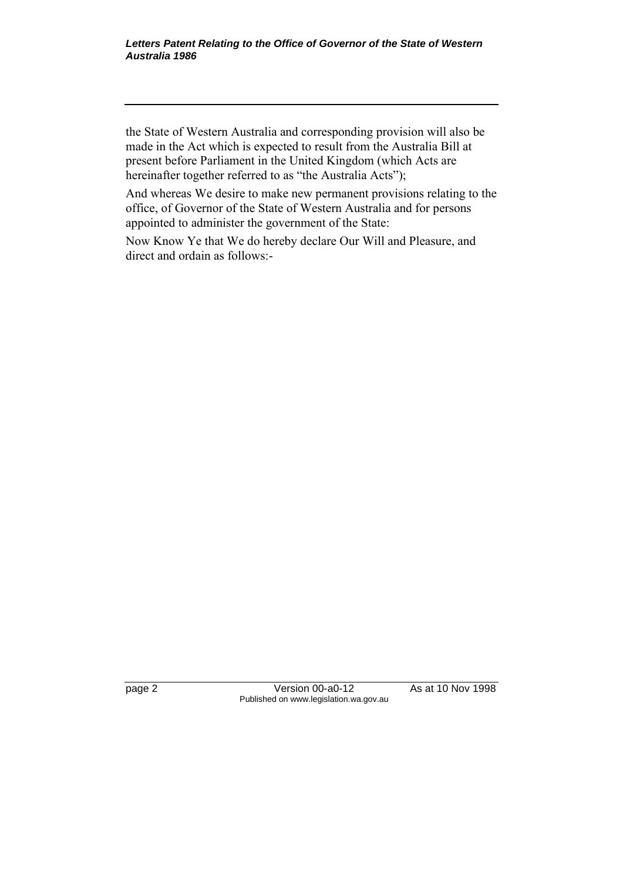the State of Western Australia and corresponding provision will also be made in the Act which is expected to result from the Australia Bill at present before Parliament in the United Kingdom (which Acts are hereinafter together referred to as "the Australia Acts");

And whereas We desire to make new permanent provisions relating to the office, of Governor of the State of Western Australia and for persons appointed to administer the government of the State:

Now Know Ye that We do hereby declare Our Will and Pleasure, and direct and ordain as follows:-

page 2 Version 00-a0-12 As at 10 Nov 1998 Published on www.legislation.wa.gov.au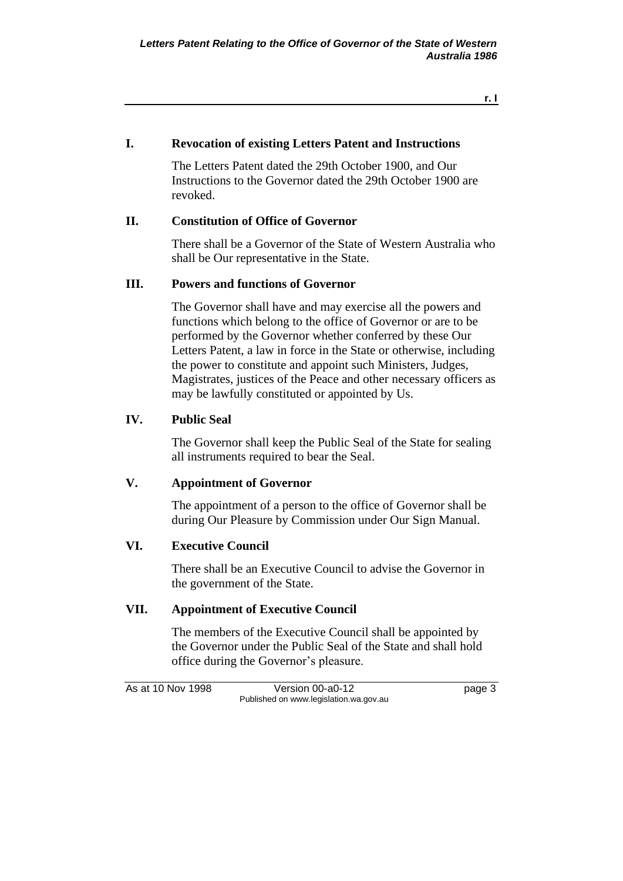**r. I**

#### **I. Revocation of existing Letters Patent and Instructions**

The Letters Patent dated the 29th October 1900, and Our Instructions to the Governor dated the 29th October 1900 are revoked.

#### **II. Constitution of Office of Governor**

There shall be a Governor of the State of Western Australia who shall be Our representative in the State.

## **III. Powers and functions of Governor**

The Governor shall have and may exercise all the powers and functions which belong to the office of Governor or are to be performed by the Governor whether conferred by these Our Letters Patent, a law in force in the State or otherwise, including the power to constitute and appoint such Ministers, Judges, Magistrates, justices of the Peace and other necessary officers as may be lawfully constituted or appointed by Us.

#### **IV. Public Seal**

The Governor shall keep the Public Seal of the State for sealing all instruments required to bear the Seal.

## **V. Appointment of Governor**

The appointment of a person to the office of Governor shall be during Our Pleasure by Commission under Our Sign Manual.

#### **VI. Executive Council**

There shall be an Executive Council to advise the Governor in the government of the State.

## **VII. Appointment of Executive Council**

The members of the Executive Council shall be appointed by the Governor under the Public Seal of the State and shall hold office during the Governor's pleasure.

As at 10 Nov 1998 Version 00-a0-12 Page 3 Published on www.legislation.wa.gov.au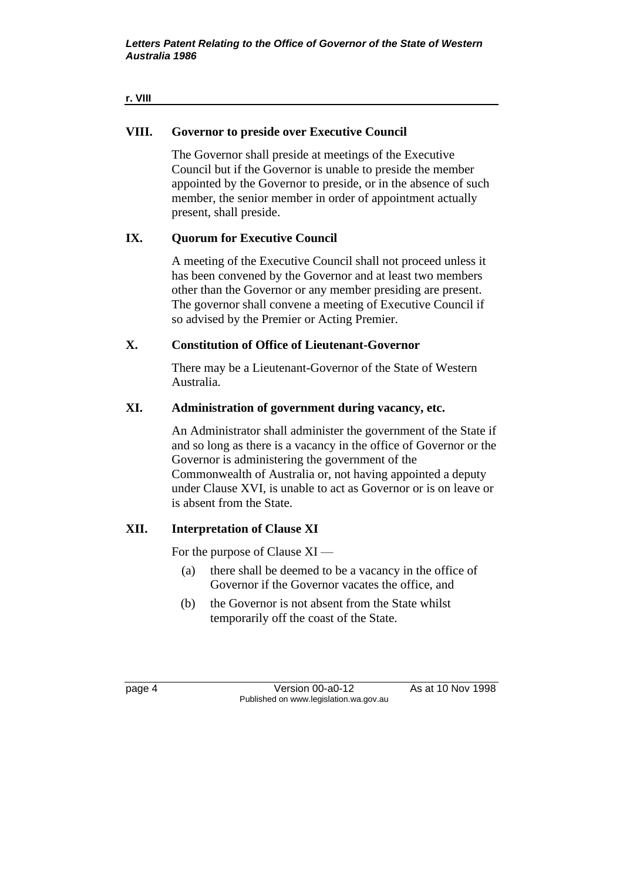#### **r. VIII**

## **VIII. Governor to preside over Executive Council**

The Governor shall preside at meetings of the Executive Council but if the Governor is unable to preside the member appointed by the Governor to preside, or in the absence of such member, the senior member in order of appointment actually present, shall preside.

## **IX. Quorum for Executive Council**

A meeting of the Executive Council shall not proceed unless it has been convened by the Governor and at least two members other than the Governor or any member presiding are present. The governor shall convene a meeting of Executive Council if so advised by the Premier or Acting Premier.

## **X. Constitution of Office of Lieutenant-Governor**

There may be a Lieutenant-Governor of the State of Western Australia.

## **XI. Administration of government during vacancy, etc.**

An Administrator shall administer the government of the State if and so long as there is a vacancy in the office of Governor or the Governor is administering the government of the Commonwealth of Australia or, not having appointed a deputy under Clause XVI, is unable to act as Governor or is on leave or is absent from the State.

## **XII. Interpretation of Clause XI**

For the purpose of Clause XI —

- (a) there shall be deemed to be a vacancy in the office of Governor if the Governor vacates the office, and
- (b) the Governor is not absent from the State whilst temporarily off the coast of the State.

page 4 Version 00-a0-12 As at 10 Nov 1998 Published on www.legislation.wa.gov.au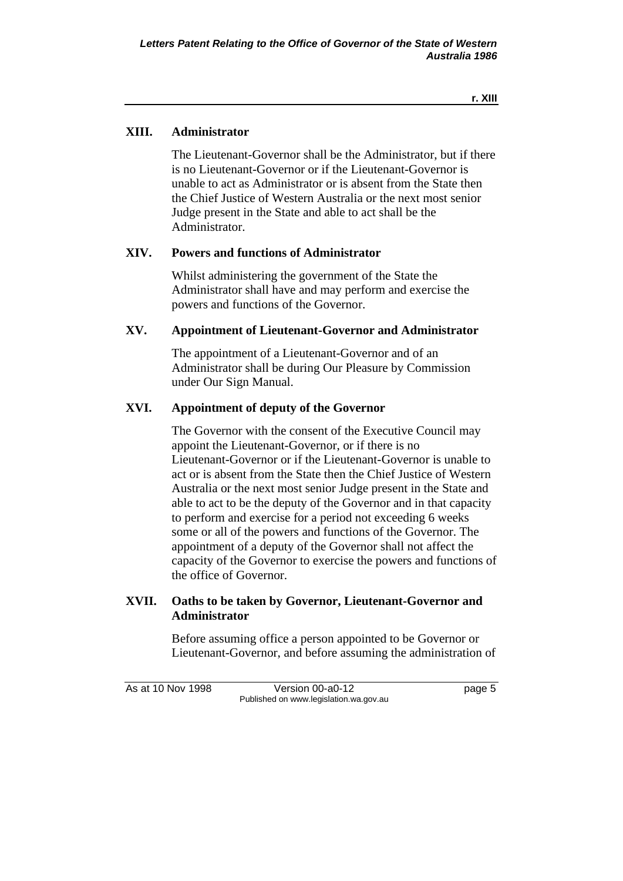## **XIII. Administrator**

The Lieutenant-Governor shall be the Administrator, but if there is no Lieutenant-Governor or if the Lieutenant-Governor is unable to act as Administrator or is absent from the State then the Chief Justice of Western Australia or the next most senior Judge present in the State and able to act shall be the Administrator.

## **XIV. Powers and functions of Administrator**

Whilst administering the government of the State the Administrator shall have and may perform and exercise the powers and functions of the Governor.

## **XV. Appointment of Lieutenant-Governor and Administrator**

The appointment of a Lieutenant-Governor and of an Administrator shall be during Our Pleasure by Commission under Our Sign Manual.

## **XVI. Appointment of deputy of the Governor**

The Governor with the consent of the Executive Council may appoint the Lieutenant-Governor, or if there is no Lieutenant-Governor or if the Lieutenant-Governor is unable to act or is absent from the State then the Chief Justice of Western Australia or the next most senior Judge present in the State and able to act to be the deputy of the Governor and in that capacity to perform and exercise for a period not exceeding 6 weeks some or all of the powers and functions of the Governor. The appointment of a deputy of the Governor shall not affect the capacity of the Governor to exercise the powers and functions of the office of Governor.

## **XVII. Oaths to be taken by Governor, Lieutenant-Governor and Administrator**

Before assuming office a person appointed to be Governor or Lieutenant-Governor, and before assuming the administration of

As at 10 Nov 1998 Version 00-a0-12 Page 5 Published on www.legislation.wa.gov.au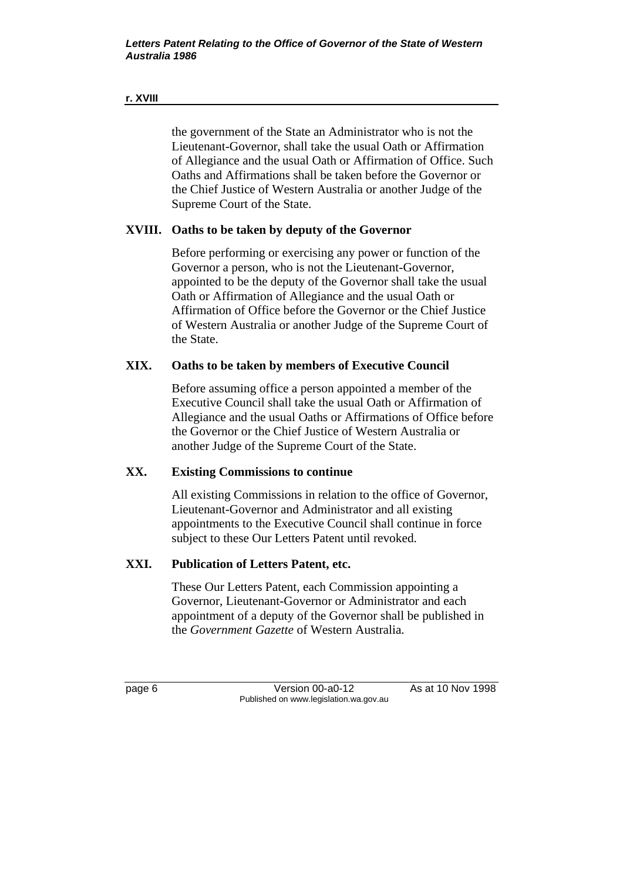#### **r. XVIII**

the government of the State an Administrator who is not the Lieutenant-Governor, shall take the usual Oath or Affirmation of Allegiance and the usual Oath or Affirmation of Office. Such Oaths and Affirmations shall be taken before the Governor or the Chief Justice of Western Australia or another Judge of the Supreme Court of the State.

## **XVIII. Oaths to be taken by deputy of the Governor**

Before performing or exercising any power or function of the Governor a person, who is not the Lieutenant-Governor, appointed to be the deputy of the Governor shall take the usual Oath or Affirmation of Allegiance and the usual Oath or Affirmation of Office before the Governor or the Chief Justice of Western Australia or another Judge of the Supreme Court of the State.

## **XIX. Oaths to be taken by members of Executive Council**

Before assuming office a person appointed a member of the Executive Council shall take the usual Oath or Affirmation of Allegiance and the usual Oaths or Affirmations of Office before the Governor or the Chief Justice of Western Australia or another Judge of the Supreme Court of the State.

## **XX. Existing Commissions to continue**

All existing Commissions in relation to the office of Governor, Lieutenant-Governor and Administrator and all existing appointments to the Executive Council shall continue in force subject to these Our Letters Patent until revoked.

## **XXI. Publication of Letters Patent, etc.**

These Our Letters Patent, each Commission appointing a Governor, Lieutenant-Governor or Administrator and each appointment of a deputy of the Governor shall be published in the *Government Gazette* of Western Australia.

page 6 Version 00-a0-12 As at 10 Nov 1998 Published on www.legislation.wa.gov.au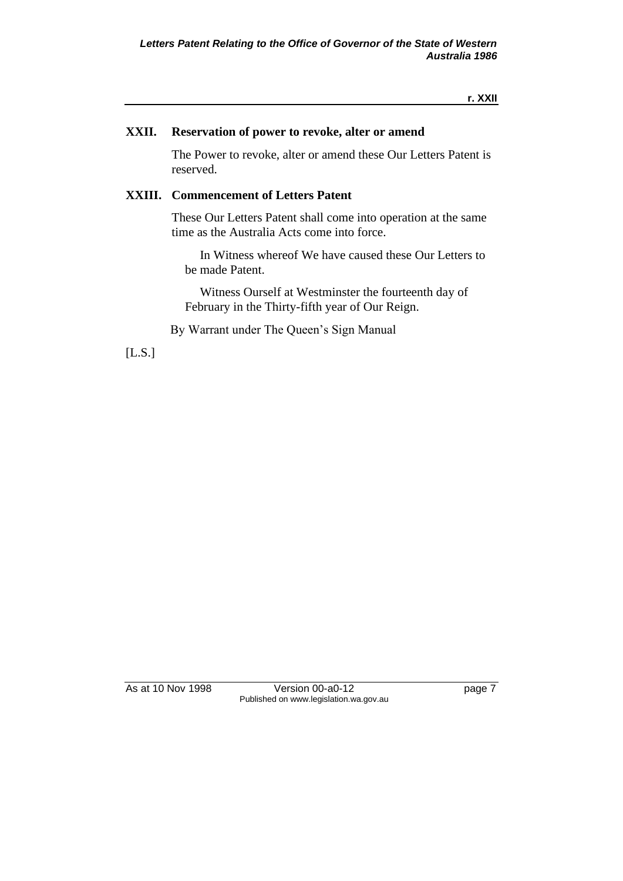#### **XXII. Reservation of power to revoke, alter or amend**

The Power to revoke, alter or amend these Our Letters Patent is reserved.

#### **XXIII. Commencement of Letters Patent**

These Our Letters Patent shall come into operation at the same time as the Australia Acts come into force.

In Witness whereof We have caused these Our Letters to be made Patent.

Witness Ourself at Westminster the fourteenth day of February in the Thirty-fifth year of Our Reign.

By Warrant under The Queen's Sign Manual

[L.S.]

As at 10 Nov 1998 Version 00-a0-12 Page 7 Published on www.legislation.wa.gov.au